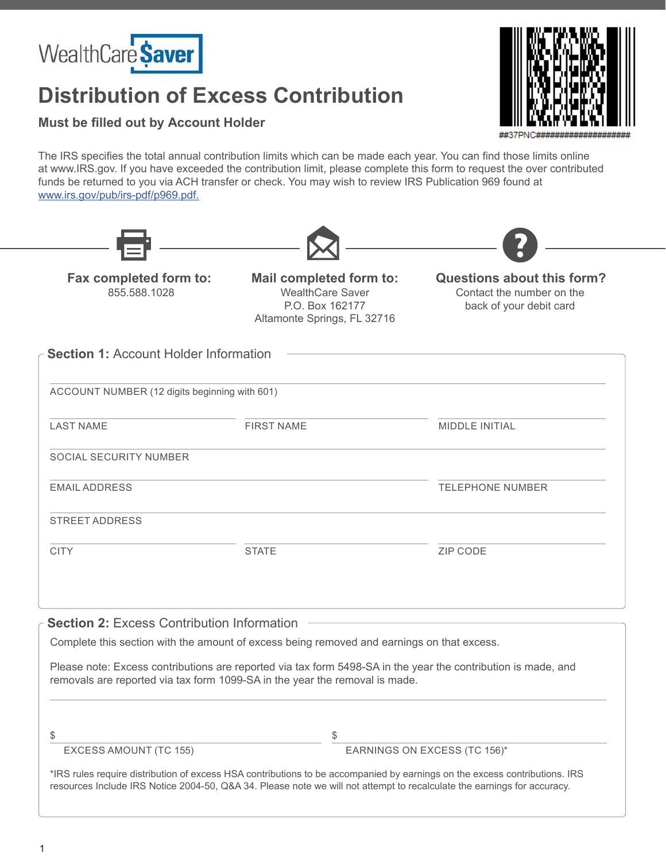

## **Distribution of Excess Contribution**



**Must be filled out by Account Holder**

The IRS specifies the total annual contribution limits which can be made each year. You can find those limits online at www.IRS.gov. If you have exceeded the contribution limit, please complete this form to request the over contributed funds be returned to you via ACH transfer or check. You may wish to review IRS Publication 969 found at www.irs.gov/pub/irs-pdf/p969.pdf.

| Fax completed form to:<br>855.588.1028        | <b>Mail completed form to:</b><br><b>WealthCare Saver</b><br>P.O. Box 162177<br>Altamonte Springs, FL 32716 | Questions about this form?<br>Contact the number on the<br>back of your debit card |  |  |
|-----------------------------------------------|-------------------------------------------------------------------------------------------------------------|------------------------------------------------------------------------------------|--|--|
| <b>Section 1: Account Holder Information</b>  |                                                                                                             |                                                                                    |  |  |
| ACCOUNT NUMBER (12 digits beginning with 601) |                                                                                                             |                                                                                    |  |  |
| <b>LAST NAME</b>                              | <b>FIRST NAME</b>                                                                                           | MIDDLE INITIAL                                                                     |  |  |
| SOCIAL SECURITY NUMBER                        |                                                                                                             |                                                                                    |  |  |
| <b>EMAIL ADDRESS</b>                          |                                                                                                             | <b>TELEPHONE NUMBER</b>                                                            |  |  |
| <b>STREET ADDRESS</b>                         |                                                                                                             |                                                                                    |  |  |
| <b>CITY</b>                                   | <b>STATE</b>                                                                                                | ZIP CODE                                                                           |  |  |
|                                               |                                                                                                             |                                                                                    |  |  |

Complete this section with the amount of excess being removed and earnings on that excess.

Please note: Excess contributions are reported via tax form 5498-SA in the year the contribution is made, and removals are reported via tax form 1099-SA in the year the removal is made.

 $\textcircled{f}$ 

EXCESS AMOUNT (TC 155) EARNINGS ON EXCESS (TC 156)\*

\*IRS rules require distribution of excess HSA contributions to be accompanied by earnings on the excess contributions. IRS resources Include IRS Notice 2004-50, Q&A 34. Please note we will not attempt to recalculate the earnings for accuracy.